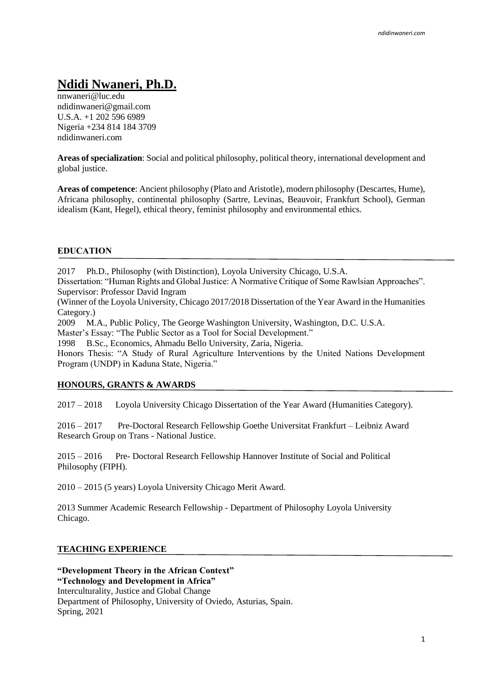# **Ndidi Nwaneri, Ph.D.**

nnwaneri@luc.edu ndidinwaneri@gmail.com U.S.A. +1 202 596 6989 Nigeria +234 814 184 3709 ndidinwaneri.com

**Areas of specialization**: Social and political philosophy, political theory, international development and global justice.

**Areas of competence**: Ancient philosophy (Plato and Aristotle), modern philosophy (Descartes, Hume), Africana philosophy, continental philosophy (Sartre, Levinas, Beauvoir, Frankfurt School), German idealism (Kant, Hegel), ethical theory, feminist philosophy and environmental ethics.

## **EDUCATION**

2017 Ph.D., Philosophy (with Distinction), Loyola University Chicago, U.S.A.

Dissertation: "Human Rights and Global Justice: A Normative Critique of Some Rawlsian Approaches". Supervisor: Professor David Ingram

(Winner of the Loyola University, Chicago 2017/2018 Dissertation of the Year Award in the Humanities Category.)

2009 M.A., Public Policy, The George Washington University, Washington, D.C. U.S.A.

Master's Essay: "The Public Sector as a Tool for Social Development."

1998 B.Sc., Economics, Ahmadu Bello University, Zaria, Nigeria.

Honors Thesis: "A Study of Rural Agriculture Interventions by the United Nations Development Program (UNDP) in Kaduna State, Nigeria."

#### **HONOURS, GRANTS & AWARDS**

2017 – 2018 Loyola University Chicago Dissertation of the Year Award (Humanities Category).

2016 – 2017 Pre-Doctoral Research Fellowship Goethe Universitat Frankfurt – Leibniz Award Research Group on Trans - National Justice.

2015 – 2016 Pre- Doctoral Research Fellowship Hannover Institute of Social and Political Philosophy (FIPH).

2010 – 2015 (5 years) Loyola University Chicago Merit Award.

2013 Summer Academic Research Fellowship - Department of Philosophy Loyola University Chicago.

#### **TEACHING EXPERIENCE**

**"Development Theory in the African Context" "Technology and Development in Africa"** Interculturality, Justice and Global Change Department of Philosophy, University of Oviedo, Asturias, Spain. Spring, 2021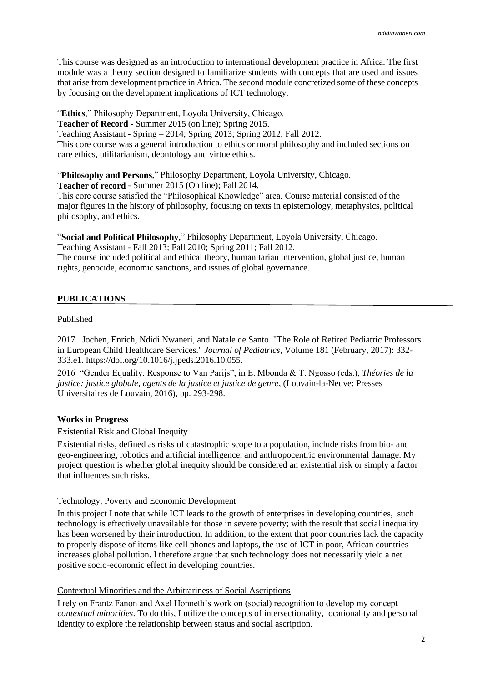This course was designed as an introduction to international development practice in Africa. The first module was a theory section designed to familiarize students with concepts that are used and issues that arise from development practice in Africa. The second module concretized some of these concepts by focusing on the development implications of ICT technology.

"**Ethics**," Philosophy Department, Loyola University, Chicago.

**Teacher of Record** - Summer 2015 (on line); Spring 2015.

Teaching Assistant - Spring – 2014; Spring 2013; Spring 2012; Fall 2012.

This core course was a general introduction to ethics or moral philosophy and included sections on care ethics, utilitarianism, deontology and virtue ethics.

"**Philosophy and Persons**," Philosophy Department, Loyola University, Chicago.

**Teacher of record** - Summer 2015 (On line); Fall 2014.

This core course satisfied the "Philosophical Knowledge" area. Course material consisted of the major figures in the history of philosophy, focusing on texts in epistemology, metaphysics, political philosophy, and ethics.

"**Social and Political Philosophy**," Philosophy Department, Loyola University, Chicago. Teaching Assistant - Fall 2013; Fall 2010; Spring 2011; Fall 2012.

The course included political and ethical theory, humanitarian intervention, global justice, human rights, genocide, economic sanctions, and issues of global governance.

# **PUBLICATIONS**

#### Published

2017 Jochen, Enrich, Ndidi Nwaneri, and Natale de Santo. "The Role of Retired Pediatric Professors in European Child Healthcare Services." *Journal of Pediatrics*, Volume 181 (February, 2017): 332- 333.e1. https://doi.org/10.1016/j.jpeds.2016.10.055.

2016 "Gender Equality: Response to Van Parijs", in E. Mbonda & T. Ngosso (eds.), *Théories de la justice: justice globale, agents de la justice et justice de genre*, (Louvain-la-Neuve: Presses Universitaires de Louvain, 2016), pp. 293-298.

## **Works in Progress**

## Existential Risk and Global Inequity

Existential risks, defined as risks of catastrophic scope to a population, include risks from bio- and geo-engineering, robotics and artificial intelligence, and anthropocentric environmental damage. My project question is whether global inequity should be considered an existential risk or simply a factor that influences such risks.

## Technology, Poverty and Economic Development

In this project I note that while ICT leads to the growth of enterprises in developing countries, such technology is effectively unavailable for those in severe poverty; with the result that social inequality has been worsened by their introduction. In addition, to the extent that poor countries lack the capacity to properly dispose of items like cell phones and laptops, the use of ICT in poor, African countries increases global pollution. I therefore argue that such technology does not necessarily yield a net positive socio-economic effect in developing countries.

## Contextual Minorities and the Arbitrariness of Social Ascriptions

I rely on Frantz Fanon and Axel Honneth's work on (social) recognition to develop my concept *contextual minorities*. To do this, I utilize the concepts of intersectionality, locationality and personal identity to explore the relationship between status and social ascription.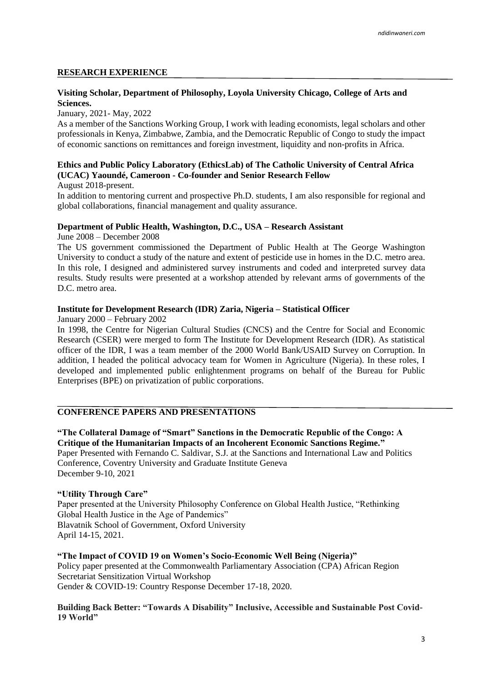#### **RESEARCH EXPERIENCE**

# **Visiting Scholar, Department of Philosophy, Loyola University Chicago, College of Arts and Sciences.**

January, 2021- May, 2022

As a member of the Sanctions Working Group, I work with leading economists, legal scholars and other professionals in Kenya, Zimbabwe, Zambia, and the Democratic Republic of Congo to study the impact of economic sanctions on remittances and foreign investment, liquidity and non-profits in Africa.

# **Ethics and Public Policy Laboratory (EthicsLab) of The Catholic University of Central Africa (UCAC) Yaoundé, Cameroon - Co-founder and Senior Research Fellow**

August 2018-present.

In addition to mentoring current and prospective Ph.D. students, I am also responsible for regional and global collaborations, financial management and quality assurance.

## **Department of Public Health, Washington, D.C., USA – Research Assistant**

June 2008 – December 2008

The US government commissioned the Department of Public Health at The George Washington University to conduct a study of the nature and extent of pesticide use in homes in the D.C. metro area. In this role, I designed and administered survey instruments and coded and interpreted survey data results. Study results were presented at a workshop attended by relevant arms of governments of the D.C. metro area.

#### **Institute for Development Research (IDR) Zaria, Nigeria – Statistical Officer**

January 2000 – February 2002

In 1998, the Centre for Nigerian Cultural Studies (CNCS) and the Centre for Social and Economic Research (CSER) were merged to form The Institute for Development Research (IDR). As statistical officer of the IDR, I was a team member of the 2000 World Bank/USAID Survey on Corruption. In addition, I headed the political advocacy team for Women in Agriculture (Nigeria). In these roles, I developed and implemented public enlightenment programs on behalf of the Bureau for Public Enterprises (BPE) on privatization of public corporations.

# **CONFERENCE PAPERS AND PRESENTATIONS**

**"The Collateral Damage of "Smart" Sanctions in the Democratic Republic of the Congo: A Critique of the Humanitarian Impacts of an Incoherent Economic Sanctions Regime."** Paper Presented with Fernando C. Saldivar, S.J. at the Sanctions and International Law and Politics Conference, Coventry University and Graduate Institute Geneva December 9-10, 2021

#### **"Utility Through Care"**

Paper presented at the University Philosophy Conference on Global Health Justice, "Rethinking Global Health Justice in the Age of Pandemics" Blavatnik School of Government, Oxford University April 14-15, 2021.

**"The Impact of COVID 19 on Women's Socio-Economic Well Being (Nigeria)"** Policy paper presented at the Commonwealth Parliamentary Association (CPA) African Region Secretariat Sensitization Virtual Workshop Gender & COVID-19: Country Response December 17-18, 2020.

#### **Building Back Better: "Towards A Disability" Inclusive, Accessible and Sustainable Post Covid-19 World"**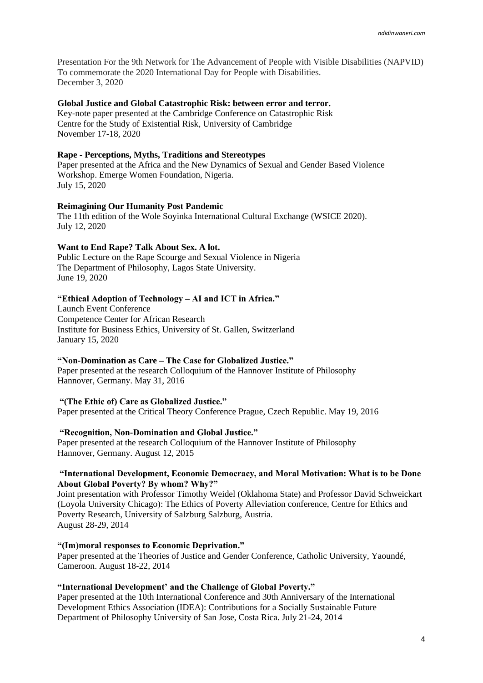Presentation For the 9th Network for The Advancement of People with Visible Disabilities (NAPVID) To commemorate the 2020 International Day for People with Disabilities. December 3, 2020

#### **Global Justice and Global Catastrophic Risk: between error and terror.**

Key-note paper presented at the Cambridge Conference on Catastrophic Risk Centre for the Study of Existential Risk, University of Cambridge November 17-18, 2020

#### **Rape - Perceptions, Myths, Traditions and Stereotypes**

Paper presented at the Africa and the New Dynamics of Sexual and Gender Based Violence Workshop. Emerge Women Foundation, Nigeria. July 15, 2020

#### **Reimagining Our Humanity Post Pandemic**

The 11th edition of the Wole Soyinka International Cultural Exchange (WSICE 2020). July 12, 2020

#### **Want to End Rape? Talk About Sex. A lot.**

Public Lecture on the Rape Scourge and Sexual Violence in Nigeria The Department of Philosophy, Lagos State University. June 19, 2020

#### **"Ethical Adoption of Technology – AI and ICT in Africa."**

Launch Event Conference Competence Center for African Research Institute for Business Ethics, University of St. Gallen, Switzerland January 15, 2020

#### **"Non-Domination as Care – The Case for Globalized Justice."**

Paper presented at the research Colloquium of the Hannover Institute of Philosophy Hannover, Germany. May 31, 2016

## **"(The Ethic of) Care as Globalized Justice."**

Paper presented at the Critical Theory Conference Prague, Czech Republic. May 19, 2016

## **"Recognition, Non-Domination and Global Justice."**

Paper presented at the research Colloquium of the Hannover Institute of Philosophy Hannover, Germany. August 12, 2015

#### **"International Development, Economic Democracy, and Moral Motivation: What is to be Done About Global Poverty? By whom? Why?"**

Joint presentation with Professor Timothy Weidel (Oklahoma State) and Professor David Schweickart (Loyola University Chicago): The Ethics of Poverty Alleviation conference, Centre for Ethics and Poverty Research, University of Salzburg Salzburg, Austria. August 28-29, 2014

#### **"(Im)moral responses to Economic Deprivation."**

Paper presented at the Theories of Justice and Gender Conference, Catholic University, Yaoundé, Cameroon. August 18-22, 2014

## **"International Development' and the Challenge of Global Poverty."**

Paper presented at the 10th International Conference and 30th Anniversary of the International Development Ethics Association (IDEA): Contributions for a Socially Sustainable Future Department of Philosophy University of San Jose, Costa Rica. July 21-24, 2014